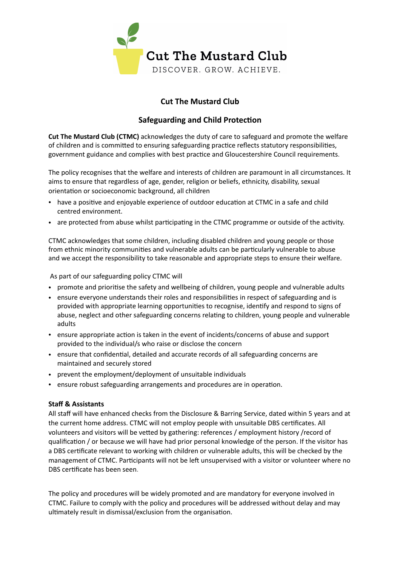

# **Cut The Mustard Club**

## **Safeguarding and Child Protection**

**Cut The Mustard Club (CTMC)** acknowledges the duty of care to safeguard and promote the welfare of children and is committed to ensuring safeguarding practice reflects statutory responsibilities, government guidance and complies with best practice and Gloucestershire Council requirements.

The policy recognises that the welfare and interests of children are paramount in all circumstances. It aims to ensure that regardless of age, gender, religion or beliefs, ethnicity, disability, sexual orientation or socioeconomic background, all children

- have a positive and enjoyable experience of outdoor education at CTMC in a safe and child centred environment.
- are protected from abuse whilst participating in the CTMC programme or outside of the activity.

CTMC acknowledges that some children, including disabled children and young people or those from ethnic minority communities and vulnerable adults can be particularly vulnerable to abuse and we accept the responsibility to take reasonable and appropriate steps to ensure their welfare.

As part of our safeguarding policy CTMC will

- promote and prioritise the safety and wellbeing of children, young people and vulnerable adults
- ensure everyone understands their roles and responsibilities in respect of safeguarding and is provided with appropriate learning opportunities to recognise, identify and respond to signs of abuse, neglect and other safeguarding concerns relating to children, young people and vulnerable adults
- ensure appropriate action is taken in the event of incidents/concerns of abuse and support provided to the individual/s who raise or disclose the concern
- ensure that confidential, detailed and accurate records of all safeguarding concerns are maintained and securely stored
- prevent the employment/deployment of unsuitable individuals
- ensure robust safeguarding arrangements and procedures are in operation.

### **Staff & Assistants**

All staff will have enhanced checks from the Disclosure & Barring Service, dated within 5 years and at the current home address. CTMC will not employ people with unsuitable DBS certificates. All volunteers and visitors will be vetted by gathering: references / employment history /record of qualification / or because we will have had prior personal knowledge of the person. If the visitor has a DBS certificate relevant to working with children or vulnerable adults, this will be checked by the management of CTMC. Participants will not be left unsupervised with a visitor or volunteer where no DBS certificate has been seen.

The policy and procedures will be widely promoted and are mandatory for everyone involved in CTMC. Failure to comply with the policy and procedures will be addressed without delay and may ultimately result in dismissal/exclusion from the organisation.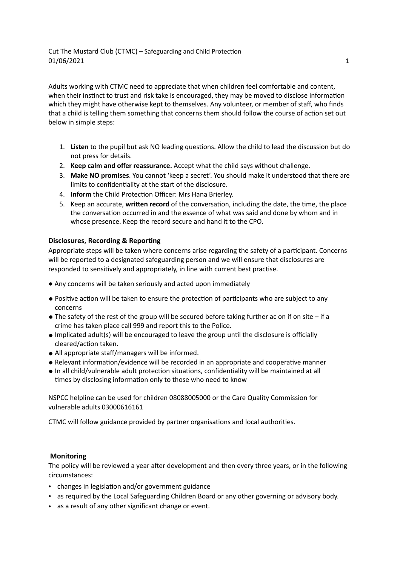Adults working with CTMC need to appreciate that when children feel comfortable and content, when their instinct to trust and risk take is encouraged, they may be moved to disclose information which they might have otherwise kept to themselves. Any volunteer, or member of staff, who finds that a child is telling them something that concerns them should follow the course of action set out below in simple steps:

- 1. **Listen** to the pupil but ask NO leading questions. Allow the child to lead the discussion but do not press for details.
- 2. **Keep calm and offer reassurance.** Accept what the child says without challenge.
- 3. **Make NO promises**. You cannot 'keep a secret'. You should make it understood that there are limits to confidentiality at the start of the disclosure.
- 4. **Inform** the Child Protection Officer: Mrs Hana Brierley.
- 5. Keep an accurate, **written record** of the conversation, including the date, the time, the place the conversation occurred in and the essence of what was said and done by whom and in whose presence. Keep the record secure and hand it to the CPO.

### **Disclosures, Recording & Reporting**

Appropriate steps will be taken where concerns arise regarding the safety of a participant. Concerns will be reported to a designated safeguarding person and we will ensure that disclosures are responded to sensitively and appropriately, in line with current best practise.

- Any concerns will be taken seriously and acted upon immediately
- Positive action will be taken to ensure the protection of participants who are subject to any concerns
- $\bullet$  The safety of the rest of the group will be secured before taking further ac on if on site if a crime has taken place call 999 and report this to the Police.
- Implicated adult(s) will be encouraged to leave the group until the disclosure is officially cleared/action taken.
- All appropriate staff/managers will be informed.
- Relevant information/evidence will be recorded in an appropriate and cooperative manner
- In all child/vulnerable adult protection situations, confidentiality will be maintained at all times by disclosing information only to those who need to know

NSPCC helpline can be used for children 08088005000 or the Care Quality Commission for vulnerable adults 03000616161

CTMC will follow guidance provided by partner organisations and local authorities.

#### **Monitoring**

The policy will be reviewed a year after development and then every three years, or in the following circumstances:

- changes in legislation and/or government guidance
- as required by the Local Safeguarding Children Board or any other governing or advisory body.
- as a result of any other significant change or event.